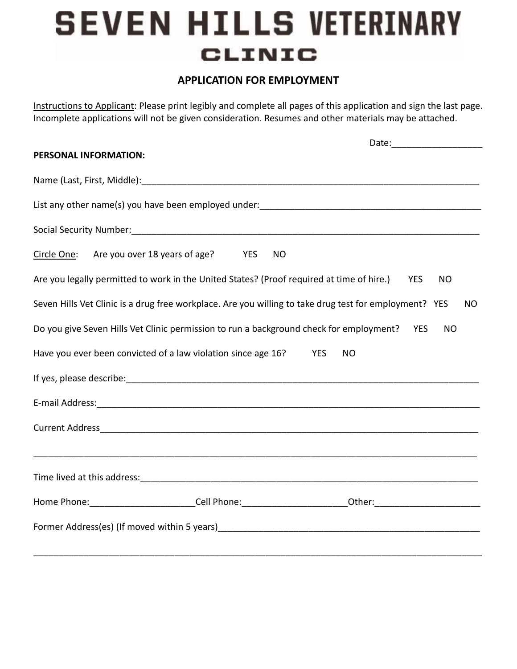## **SEVEN HILLS VETERINARY CLINIC**

## **APPLICATION FOR EMPLOYMENT**

Instructions to Applicant: Please print legibly and complete all pages of this application and sign the last page. Incomplete applications will not be given consideration. Resumes and other materials may be attached.

|             | PERSONAL INFORMATION:                                                                                                                                                                                                          |                         |
|-------------|--------------------------------------------------------------------------------------------------------------------------------------------------------------------------------------------------------------------------------|-------------------------|
|             |                                                                                                                                                                                                                                |                         |
|             |                                                                                                                                                                                                                                |                         |
|             | Social Security Number: Social Security Number: Social Security Numbers: Social Security Numbers: Social Security Numbers: Social Security Numbers: Social Security Numbers: Social Security Numbers: Social Security Numbers: |                         |
| Circle One: | Are you over 18 years of age? YES<br><b>NO</b>                                                                                                                                                                                 |                         |
|             | Are you legally permitted to work in the United States? (Proof required at time of hire.)                                                                                                                                      | <b>YES</b><br><b>NO</b> |
|             | Seven Hills Vet Clinic is a drug free workplace. Are you willing to take drug test for employment? YES                                                                                                                         | NO.                     |
|             | Do you give Seven Hills Vet Clinic permission to run a background check for employment? YES                                                                                                                                    | <b>NO</b>               |
|             | Have you ever been convicted of a law violation since age 16?<br><b>YES</b><br><b>NO</b>                                                                                                                                       |                         |
|             |                                                                                                                                                                                                                                |                         |
|             |                                                                                                                                                                                                                                |                         |
|             |                                                                                                                                                                                                                                |                         |
|             |                                                                                                                                                                                                                                |                         |
|             |                                                                                                                                                                                                                                |                         |
|             |                                                                                                                                                                                                                                |                         |
|             |                                                                                                                                                                                                                                |                         |
|             |                                                                                                                                                                                                                                |                         |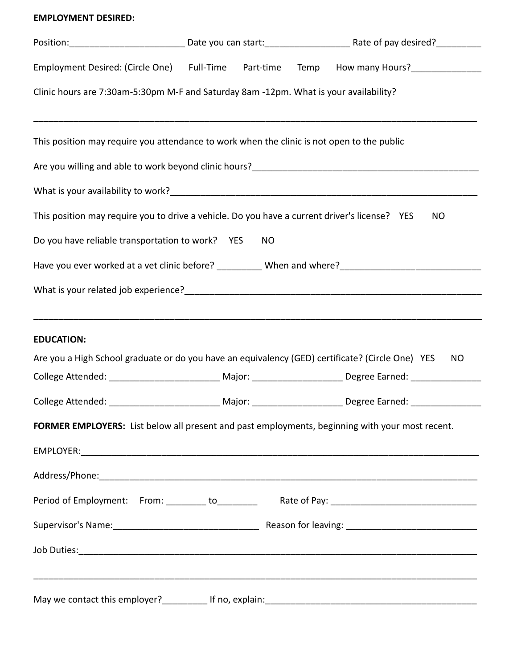## **EMPLOYMENT DESIRED:**

| Employment Desired: (Circle One) Full-Time Part-time                                             |           | Temp How many Hours?_______________                                                                                  |
|--------------------------------------------------------------------------------------------------|-----------|----------------------------------------------------------------------------------------------------------------------|
| Clinic hours are 7:30am-5:30pm M-F and Saturday 8am -12pm. What is your availability?            |           |                                                                                                                      |
| This position may require you attendance to work when the clinic is not open to the public       |           |                                                                                                                      |
|                                                                                                  |           |                                                                                                                      |
|                                                                                                  |           |                                                                                                                      |
| This position may require you to drive a vehicle. Do you have a current driver's license? YES    |           | <b>NO</b>                                                                                                            |
| Do you have reliable transportation to work? YES                                                 | <b>NO</b> |                                                                                                                      |
|                                                                                                  |           |                                                                                                                      |
|                                                                                                  |           |                                                                                                                      |
|                                                                                                  |           |                                                                                                                      |
| <b>EDUCATION:</b>                                                                                |           |                                                                                                                      |
| Are you a High School graduate or do you have an equivalency (GED) certificate? (Circle One) YES |           | <b>NO</b>                                                                                                            |
|                                                                                                  |           | College Attended: _________________________________Major: ____________________________Degree Earned: _______________ |
|                                                                                                  |           | College Attended: _________________________________Major: ________________________Degree Earned: _____________       |
| FORMER EMPLOYERS: List below all present and past employments, beginning with your most recent.  |           |                                                                                                                      |
|                                                                                                  |           |                                                                                                                      |
|                                                                                                  |           |                                                                                                                      |
|                                                                                                  |           |                                                                                                                      |
|                                                                                                  |           |                                                                                                                      |
|                                                                                                  |           |                                                                                                                      |
|                                                                                                  |           |                                                                                                                      |